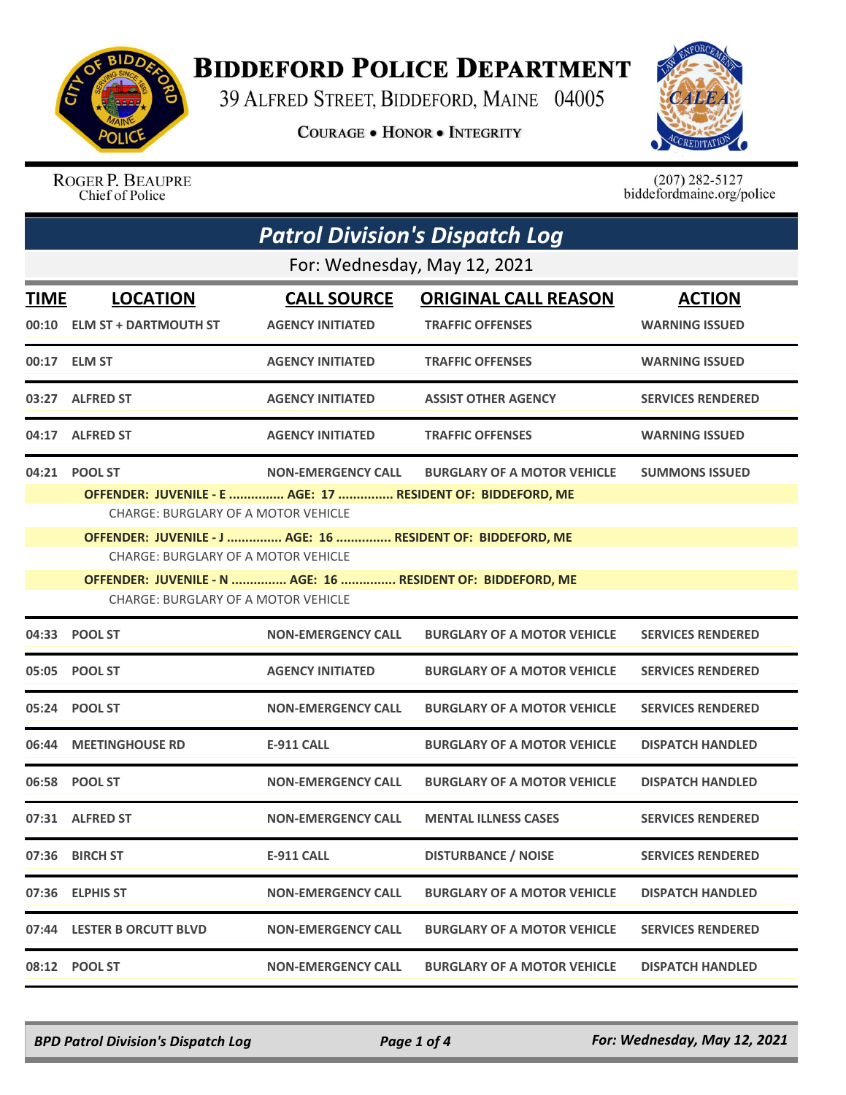

## **BIDDEFORD POLICE DEPARTMENT**

39 ALFRED STREET, BIDDEFORD, MAINE 04005

**COURAGE . HONOR . INTEGRITY** 



ROGER P. BEAUPRE Chief of Police

 $(207)$  282-5127<br>biddefordmaine.org/police

| <b>Patrol Division's Dispatch Log</b> |                                                                                                           |                           |                                    |                          |  |  |
|---------------------------------------|-----------------------------------------------------------------------------------------------------------|---------------------------|------------------------------------|--------------------------|--|--|
|                                       | For: Wednesday, May 12, 2021                                                                              |                           |                                    |                          |  |  |
| <b>TIME</b>                           | <b>LOCATION</b>                                                                                           | <b>CALL SOURCE</b>        | <b>ORIGINAL CALL REASON</b>        | <b>ACTION</b>            |  |  |
| 00:10                                 | <b>ELM ST + DARTMOUTH ST</b>                                                                              | <b>AGENCY INITIATED</b>   | <b>TRAFFIC OFFENSES</b>            | <b>WARNING ISSUED</b>    |  |  |
|                                       | 00:17 ELM ST                                                                                              | <b>AGENCY INITIATED</b>   | <b>TRAFFIC OFFENSES</b>            | <b>WARNING ISSUED</b>    |  |  |
|                                       | 03:27 ALFRED ST                                                                                           | <b>AGENCY INITIATED</b>   | <b>ASSIST OTHER AGENCY</b>         | <b>SERVICES RENDERED</b> |  |  |
| 04:17                                 | <b>ALFRED ST</b>                                                                                          | <b>AGENCY INITIATED</b>   | <b>TRAFFIC OFFENSES</b>            | <b>WARNING ISSUED</b>    |  |  |
| 04:21                                 | <b>POOL ST</b>                                                                                            | <b>NON-EMERGENCY CALL</b> | <b>BURGLARY OF A MOTOR VEHICLE</b> | <b>SUMMONS ISSUED</b>    |  |  |
|                                       | OFFENDER: JUVENILE - E  AGE: 17  RESIDENT OF: BIDDEFORD, ME                                               |                           |                                    |                          |  |  |
|                                       | <b>CHARGE: BURGLARY OF A MOTOR VEHICLE</b>                                                                |                           |                                    |                          |  |  |
|                                       | OFFENDER: JUVENILE - J  AGE: 16  RESIDENT OF: BIDDEFORD, ME<br>CHARGE: BURGLARY OF A MOTOR VEHICLE        |                           |                                    |                          |  |  |
|                                       |                                                                                                           |                           |                                    |                          |  |  |
|                                       | OFFENDER: JUVENILE - N  AGE: 16  RESIDENT OF: BIDDEFORD, ME<br><b>CHARGE: BURGLARY OF A MOTOR VEHICLE</b> |                           |                                    |                          |  |  |
|                                       | 04:33 POOL ST                                                                                             | <b>NON-EMERGENCY CALL</b> | <b>BURGLARY OF A MOTOR VEHICLE</b> | <b>SERVICES RENDERED</b> |  |  |
|                                       | 05:05 POOL ST                                                                                             | <b>AGENCY INITIATED</b>   | <b>BURGLARY OF A MOTOR VEHICLE</b> | <b>SERVICES RENDERED</b> |  |  |
|                                       | 05:24 POOL ST                                                                                             | <b>NON-EMERGENCY CALL</b> | <b>BURGLARY OF A MOTOR VEHICLE</b> | <b>SERVICES RENDERED</b> |  |  |
|                                       | 06:44 MEETINGHOUSE RD                                                                                     | <b>E-911 CALL</b>         | <b>BURGLARY OF A MOTOR VEHICLE</b> | <b>DISPATCH HANDLED</b>  |  |  |
|                                       | 06:58 POOL ST                                                                                             | <b>NON-EMERGENCY CALL</b> | <b>BURGLARY OF A MOTOR VEHICLE</b> | <b>DISPATCH HANDLED</b>  |  |  |
|                                       | 07:31 ALFRED ST                                                                                           | <b>NON-EMERGENCY CALL</b> | <b>MENTAL ILLNESS CASES</b>        | <b>SERVICES RENDERED</b> |  |  |
|                                       | 07:36 BIRCH ST                                                                                            | <b>E-911 CALL</b>         | <b>DISTURBANCE / NOISE</b>         | <b>SERVICES RENDERED</b> |  |  |
|                                       | 07:36 ELPHIS ST                                                                                           | <b>NON-EMERGENCY CALL</b> | <b>BURGLARY OF A MOTOR VEHICLE</b> | <b>DISPATCH HANDLED</b>  |  |  |
|                                       | 07:44 LESTER B ORCUTT BLVD                                                                                | <b>NON-EMERGENCY CALL</b> | <b>BURGLARY OF A MOTOR VEHICLE</b> | <b>SERVICES RENDERED</b> |  |  |
|                                       | 08:12 POOL ST                                                                                             | <b>NON-EMERGENCY CALL</b> | <b>BURGLARY OF A MOTOR VEHICLE</b> | <b>DISPATCH HANDLED</b>  |  |  |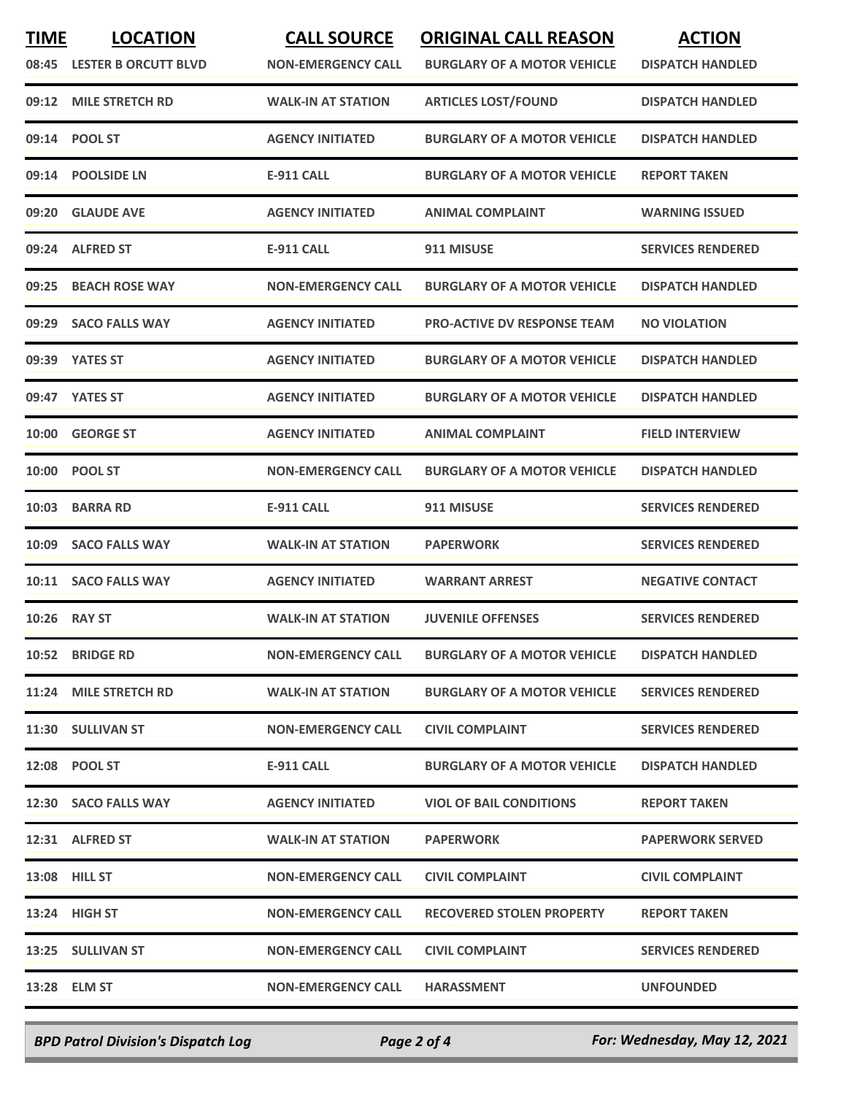| <b>TIME</b><br>08:45 | <b>LOCATION</b><br><b>LESTER B ORCUTT BLVD</b> | <b>CALL SOURCE</b><br><b>NON-EMERGENCY CALL</b> | <b>ORIGINAL CALL REASON</b><br><b>BURGLARY OF A MOTOR VEHICLE</b> | <b>ACTION</b><br><b>DISPATCH HANDLED</b> |
|----------------------|------------------------------------------------|-------------------------------------------------|-------------------------------------------------------------------|------------------------------------------|
| 09:12                | <b>MILE STRETCH RD</b>                         | <b>WALK-IN AT STATION</b>                       | <b>ARTICLES LOST/FOUND</b>                                        | <b>DISPATCH HANDLED</b>                  |
| 09:14                | <b>POOL ST</b>                                 | <b>AGENCY INITIATED</b>                         | <b>BURGLARY OF A MOTOR VEHICLE</b>                                | <b>DISPATCH HANDLED</b>                  |
| 09:14                | <b>POOLSIDE LN</b>                             | <b>E-911 CALL</b>                               | <b>BURGLARY OF A MOTOR VEHICLE</b>                                | <b>REPORT TAKEN</b>                      |
| 09:20                | <b>GLAUDE AVE</b>                              | <b>AGENCY INITIATED</b>                         | <b>ANIMAL COMPLAINT</b>                                           | <b>WARNING ISSUED</b>                    |
|                      | 09:24 ALFRED ST                                | E-911 CALL                                      | 911 MISUSE                                                        | <b>SERVICES RENDERED</b>                 |
| 09:25                | <b>BEACH ROSE WAY</b>                          | <b>NON-EMERGENCY CALL</b>                       | <b>BURGLARY OF A MOTOR VEHICLE</b>                                | <b>DISPATCH HANDLED</b>                  |
| 09:29                | <b>SACO FALLS WAY</b>                          | <b>AGENCY INITIATED</b>                         | <b>PRO-ACTIVE DV RESPONSE TEAM</b>                                | <b>NO VIOLATION</b>                      |
|                      | 09:39 YATES ST                                 | <b>AGENCY INITIATED</b>                         | <b>BURGLARY OF A MOTOR VEHICLE</b>                                | <b>DISPATCH HANDLED</b>                  |
|                      | 09:47 YATES ST                                 | <b>AGENCY INITIATED</b>                         | <b>BURGLARY OF A MOTOR VEHICLE</b>                                | <b>DISPATCH HANDLED</b>                  |
| 10:00                | <b>GEORGE ST</b>                               | <b>AGENCY INITIATED</b>                         | <b>ANIMAL COMPLAINT</b>                                           | <b>FIELD INTERVIEW</b>                   |
| 10:00                | <b>POOL ST</b>                                 | <b>NON-EMERGENCY CALL</b>                       | <b>BURGLARY OF A MOTOR VEHICLE</b>                                | <b>DISPATCH HANDLED</b>                  |
| 10:03                | <b>BARRA RD</b>                                | <b>E-911 CALL</b>                               | 911 MISUSE                                                        | <b>SERVICES RENDERED</b>                 |
| 10:09                | <b>SACO FALLS WAY</b>                          | <b>WALK-IN AT STATION</b>                       | <b>PAPERWORK</b>                                                  | <b>SERVICES RENDERED</b>                 |
| 10:11                | <b>SACO FALLS WAY</b>                          | <b>AGENCY INITIATED</b>                         | <b>WARRANT ARREST</b>                                             | <b>NEGATIVE CONTACT</b>                  |
| 10:26                | <b>RAY ST</b>                                  | <b>WALK-IN AT STATION</b>                       | <b>JUVENILE OFFENSES</b>                                          | <b>SERVICES RENDERED</b>                 |
|                      | <b>10:52 BRIDGE RD</b>                         | <b>NON-EMERGENCY CALL</b>                       | <b>BURGLARY OF A MOTOR VEHICLE</b>                                | <b>DISPATCH HANDLED</b>                  |
|                      | 11:24 MILE STRETCH RD                          | <b>WALK-IN AT STATION</b>                       | <b>BURGLARY OF A MOTOR VEHICLE</b>                                | <b>SERVICES RENDERED</b>                 |
|                      | 11:30 SULLIVAN ST                              | <b>NON-EMERGENCY CALL</b>                       | <b>CIVIL COMPLAINT</b>                                            | <b>SERVICES RENDERED</b>                 |
|                      | 12:08 POOL ST                                  | E-911 CALL                                      | <b>BURGLARY OF A MOTOR VEHICLE</b>                                | <b>DISPATCH HANDLED</b>                  |
|                      | 12:30 SACO FALLS WAY                           | <b>AGENCY INITIATED</b>                         | <b>VIOL OF BAIL CONDITIONS</b>                                    | <b>REPORT TAKEN</b>                      |
|                      | 12:31 ALFRED ST                                | <b>WALK-IN AT STATION</b>                       | <b>PAPERWORK</b>                                                  | <b>PAPERWORK SERVED</b>                  |
|                      | <b>13:08 HILL ST</b>                           | <b>NON-EMERGENCY CALL</b>                       | <b>CIVIL COMPLAINT</b>                                            | <b>CIVIL COMPLAINT</b>                   |
|                      | 13:24 HIGH ST                                  | <b>NON-EMERGENCY CALL</b>                       | <b>RECOVERED STOLEN PROPERTY</b>                                  | <b>REPORT TAKEN</b>                      |
|                      | 13:25 SULLIVAN ST                              | <b>NON-EMERGENCY CALL</b>                       | <b>CIVIL COMPLAINT</b>                                            | <b>SERVICES RENDERED</b>                 |
|                      | 13:28 ELM ST                                   | <b>NON-EMERGENCY CALL</b>                       | <b>HARASSMENT</b>                                                 | <b>UNFOUNDED</b>                         |
|                      |                                                |                                                 |                                                                   |                                          |

*BPD Patrol Division's Dispatch Log Page 2 of 4 For: Wednesday, May 12, 2021*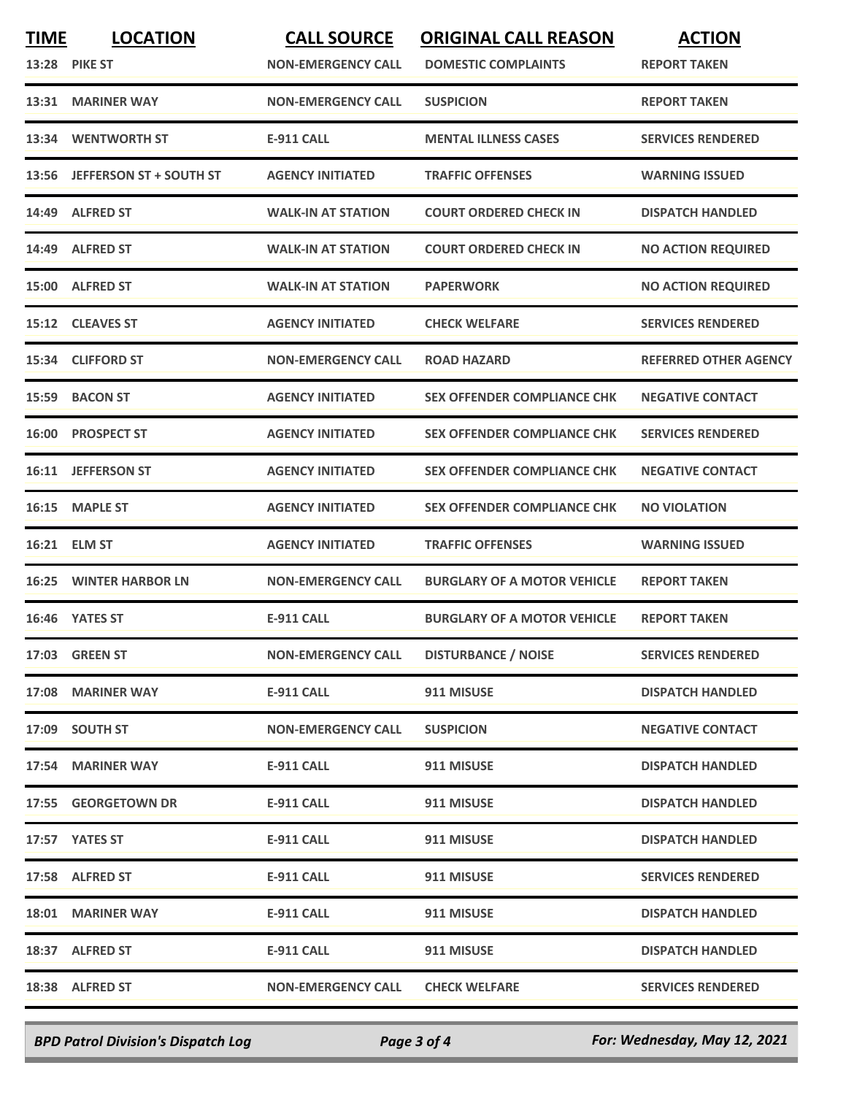| <b>TIME</b> | <b>LOCATION</b>                | <b>CALL SOURCE</b>        | <b>ORIGINAL CALL REASON</b>        | <b>ACTION</b>                |
|-------------|--------------------------------|---------------------------|------------------------------------|------------------------------|
|             | <b>13:28 PIKE ST</b>           | <b>NON-EMERGENCY CALL</b> | <b>DOMESTIC COMPLAINTS</b>         | <b>REPORT TAKEN</b>          |
| 13:31       | <b>MARINER WAY</b>             | <b>NON-EMERGENCY CALL</b> | <b>SUSPICION</b>                   | <b>REPORT TAKEN</b>          |
| 13:34       | <b>WENTWORTH ST</b>            | <b>E-911 CALL</b>         | <b>MENTAL ILLNESS CASES</b>        | <b>SERVICES RENDERED</b>     |
| 13:56       | <b>JEFFERSON ST + SOUTH ST</b> | <b>AGENCY INITIATED</b>   | <b>TRAFFIC OFFENSES</b>            | <b>WARNING ISSUED</b>        |
|             | 14:49 ALFRED ST                | <b>WALK-IN AT STATION</b> | <b>COURT ORDERED CHECK IN</b>      | <b>DISPATCH HANDLED</b>      |
|             | 14:49 ALFRED ST                | <b>WALK-IN AT STATION</b> | <b>COURT ORDERED CHECK IN</b>      | <b>NO ACTION REQUIRED</b>    |
|             | 15:00 ALFRED ST                | <b>WALK-IN AT STATION</b> | <b>PAPERWORK</b>                   | <b>NO ACTION REQUIRED</b>    |
|             | 15:12 CLEAVES ST               | <b>AGENCY INITIATED</b>   | <b>CHECK WELFARE</b>               | <b>SERVICES RENDERED</b>     |
|             | 15:34 CLIFFORD ST              | <b>NON-EMERGENCY CALL</b> | <b>ROAD HAZARD</b>                 | <b>REFERRED OTHER AGENCY</b> |
|             | 15:59 BACON ST                 | <b>AGENCY INITIATED</b>   | <b>SEX OFFENDER COMPLIANCE CHK</b> | <b>NEGATIVE CONTACT</b>      |
| 16:00       | <b>PROSPECT ST</b>             | <b>AGENCY INITIATED</b>   | <b>SEX OFFENDER COMPLIANCE CHK</b> | <b>SERVICES RENDERED</b>     |
| 16:11       | <b>JEFFERSON ST</b>            | <b>AGENCY INITIATED</b>   | <b>SEX OFFENDER COMPLIANCE CHK</b> | <b>NEGATIVE CONTACT</b>      |
| 16:15       | <b>MAPLE ST</b>                | <b>AGENCY INITIATED</b>   | <b>SEX OFFENDER COMPLIANCE CHK</b> | <b>NO VIOLATION</b>          |
| 16:21       | <b>ELM ST</b>                  | <b>AGENCY INITIATED</b>   | <b>TRAFFIC OFFENSES</b>            | <b>WARNING ISSUED</b>        |
| 16:25       | <b>WINTER HARBOR LN</b>        | <b>NON-EMERGENCY CALL</b> | <b>BURGLARY OF A MOTOR VEHICLE</b> | <b>REPORT TAKEN</b>          |
| 16:46       | <b>YATES ST</b>                | <b>E-911 CALL</b>         | <b>BURGLARY OF A MOTOR VEHICLE</b> | <b>REPORT TAKEN</b>          |
|             | 17:03 GREEN ST                 | <b>NON-EMERGENCY CALL</b> | <b>DISTURBANCE / NOISE</b>         | <b>SERVICES RENDERED</b>     |
|             | 17:08 MARINER WAY              | E-911 CALL                | 911 MISUSE                         | <b>DISPATCH HANDLED</b>      |
|             | 17:09 SOUTH ST                 | <b>NON-EMERGENCY CALL</b> | <b>SUSPICION</b>                   | <b>NEGATIVE CONTACT</b>      |
|             | 17:54 MARINER WAY              | <b>E-911 CALL</b>         | 911 MISUSE                         | <b>DISPATCH HANDLED</b>      |
|             | 17:55 GEORGETOWN DR            | <b>E-911 CALL</b>         | 911 MISUSE                         | <b>DISPATCH HANDLED</b>      |
|             | 17:57 YATES ST                 | <b>E-911 CALL</b>         | 911 MISUSE                         | <b>DISPATCH HANDLED</b>      |
|             | 17:58 ALFRED ST                | <b>E-911 CALL</b>         | 911 MISUSE                         | <b>SERVICES RENDERED</b>     |
|             | 18:01 MARINER WAY              | <b>E-911 CALL</b>         | 911 MISUSE                         | <b>DISPATCH HANDLED</b>      |
|             | 18:37 ALFRED ST                | <b>E-911 CALL</b>         | 911 MISUSE                         | <b>DISPATCH HANDLED</b>      |
|             | 18:38 ALFRED ST                | <b>NON-EMERGENCY CALL</b> | <b>CHECK WELFARE</b>               | <b>SERVICES RENDERED</b>     |
|             |                                |                           |                                    |                              |

*BPD Patrol Division's Dispatch Log Page 3 of 4 For: Wednesday, May 12, 2021*